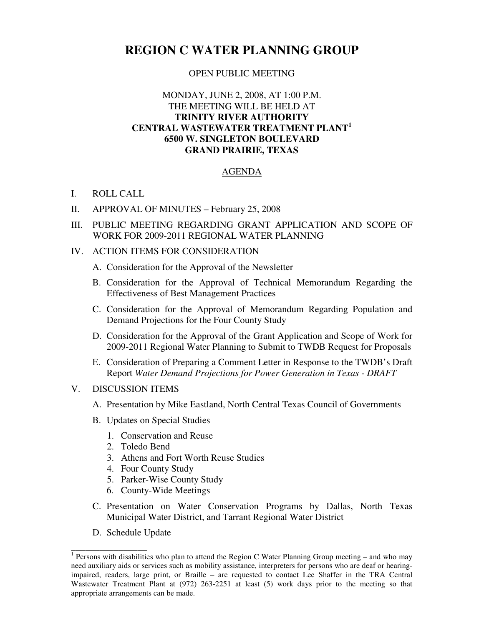# **REGION C WATER PLANNING GROUP**

### OPEN PUBLIC MEETING

## MONDAY, JUNE 2, 2008, AT 1:00 P.M. THE MEETING WILL BE HELD AT **TRINITY RIVER AUTHORITY CENTRAL WASTEWATER TREATMENT PLANT<sup>1</sup> 6500 W. SINGLETON BOULEVARD GRAND PRAIRIE, TEXAS**

### AGENDA

- I. ROLL CALL
- II. APPROVAL OF MINUTES February 25, 2008
- III. PUBLIC MEETING REGARDING GRANT APPLICATION AND SCOPE OF WORK FOR 2009-2011 REGIONAL WATER PLANNING
- IV. ACTION ITEMS FOR CONSIDERATION
	- A. Consideration for the Approval of the Newsletter
	- B. Consideration for the Approval of Technical Memorandum Regarding the Effectiveness of Best Management Practices
	- C. Consideration for the Approval of Memorandum Regarding Population and Demand Projections for the Four County Study
	- D. Consideration for the Approval of the Grant Application and Scope of Work for 2009-2011 Regional Water Planning to Submit to TWDB Request for Proposals
	- E. Consideration of Preparing a Comment Letter in Response to the TWDB's Draft Report *Water Demand Projections for Power Generation in Texas - DRAFT*

#### V. DISCUSSION ITEMS

- A. Presentation by Mike Eastland, North Central Texas Council of Governments
- B. Updates on Special Studies
	- 1. Conservation and Reuse
	- 2. Toledo Bend
	- 3. Athens and Fort Worth Reuse Studies
	- 4. Four County Study
	- 5. Parker-Wise County Study
	- 6. County-Wide Meetings
- C. Presentation on Water Conservation Programs by Dallas, North Texas Municipal Water District, and Tarrant Regional Water District
- D. Schedule Update

 $\frac{1}{1}$  Persons with disabilities who plan to attend the Region C Water Planning Group meeting – and who may need auxiliary aids or services such as mobility assistance, interpreters for persons who are deaf or hearingimpaired, readers, large print, or Braille – are requested to contact Lee Shaffer in the TRA Central Wastewater Treatment Plant at (972) 263-2251 at least (5) work days prior to the meeting so that appropriate arrangements can be made.